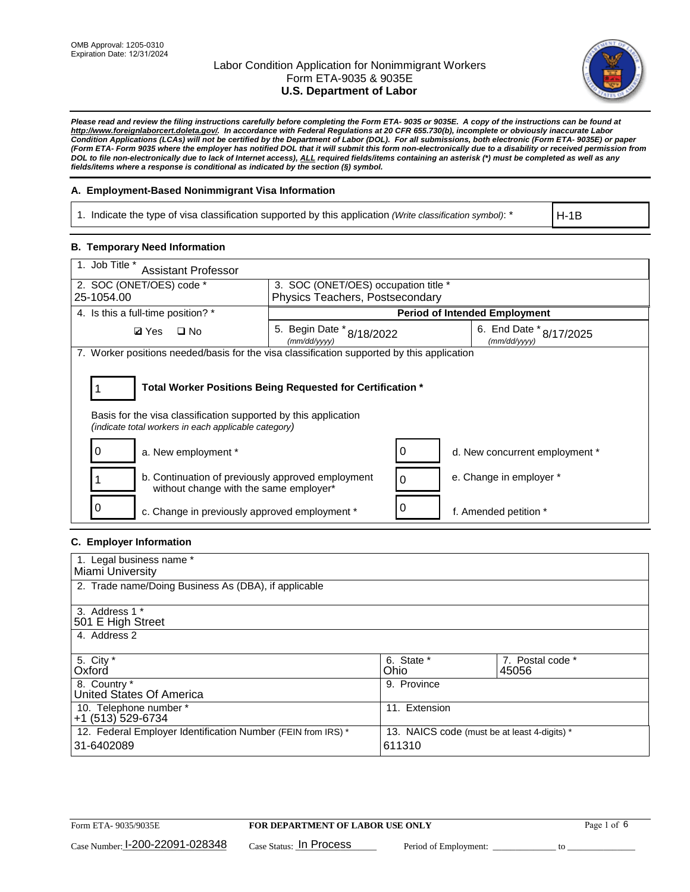

*Please read and review the filing instructions carefully before completing the Form ETA- 9035 or 9035E. A copy of the instructions can be found at [http://www.foreignlaborcert.doleta.gov/.](http://www.foreignlaborcert.doleta.gov/) In accordance with Federal Regulations at 20 CFR 655.730(b), incomplete or obviously inaccurate Labor Condition Applications (LCAs) will not be certified by the Department of Labor (DOL). For all submissions, both electronic (Form ETA- 9035E) or paper (Form ETA- Form 9035 where the employer has notified DOL that it will submit this form non-electronically due to a disability or received permission from DOL to file non-electronically due to lack of Internet access), ALL required fields/items containing an asterisk (\*) must be completed as well as any fields/items where a response is conditional as indicated by the section (§) symbol.* 

### **A. Employment-Based Nonimmigrant Visa Information**

1. Indicate the type of visa classification supported by this application *(Write classification symbol)*: \*

H-1B

### **B. Temporary Need Information**

| 1. Job Title *<br><b>Assistant Professor</b>                                                                            |                                           |          |                                         |  |  |  |
|-------------------------------------------------------------------------------------------------------------------------|-------------------------------------------|----------|-----------------------------------------|--|--|--|
| 2. SOC (ONET/OES) code *<br>3. SOC (ONET/OES) occupation title *                                                        |                                           |          |                                         |  |  |  |
| 25-1054.00                                                                                                              | Physics Teachers, Postsecondary           |          |                                         |  |  |  |
| 4. Is this a full-time position? *                                                                                      | <b>Period of Intended Employment</b>      |          |                                         |  |  |  |
| <b>Ø</b> Yes<br>$\square$ No                                                                                            | 5. Begin Date * 8/18/2022<br>(mm/dd/yyyy) |          | 6. End Date * 8/17/2025<br>(mm/dd/yyyy) |  |  |  |
| 7. Worker positions needed/basis for the visa classification supported by this application                              |                                           |          |                                         |  |  |  |
| Total Worker Positions Being Requested for Certification *                                                              |                                           |          |                                         |  |  |  |
| Basis for the visa classification supported by this application<br>(indicate total workers in each applicable category) |                                           |          |                                         |  |  |  |
| a. New employment *                                                                                                     |                                           | 0        | d. New concurrent employment *          |  |  |  |
| b. Continuation of previously approved employment<br>without change with the same employer*                             |                                           | $\Omega$ | e. Change in employer *                 |  |  |  |
| c. Change in previously approved employment *                                                                           |                                           |          | f. Amended petition *                   |  |  |  |

# **C. Employer Information**

| 1. Legal business name *                                     |                                              |                  |
|--------------------------------------------------------------|----------------------------------------------|------------------|
| Miami University                                             |                                              |                  |
| 2. Trade name/Doing Business As (DBA), if applicable         |                                              |                  |
|                                                              |                                              |                  |
| 3. Address 1 *                                               |                                              |                  |
| 501 E High Street                                            |                                              |                  |
| 4. Address 2                                                 |                                              |                  |
|                                                              |                                              |                  |
| 5. City *                                                    | 6. State *                                   | 7. Postal code * |
| Oxford                                                       | Ohio                                         | 45056            |
| 8. Country *                                                 | 9. Province                                  |                  |
| United States Of America                                     |                                              |                  |
| 10. Telephone number *                                       | 11. Extension                                |                  |
| +1 (513) 529-6734                                            |                                              |                  |
| 12. Federal Employer Identification Number (FEIN from IRS) * | 13. NAICS code (must be at least 4-digits) * |                  |
| 31-6402089                                                   | 611310                                       |                  |
|                                                              |                                              |                  |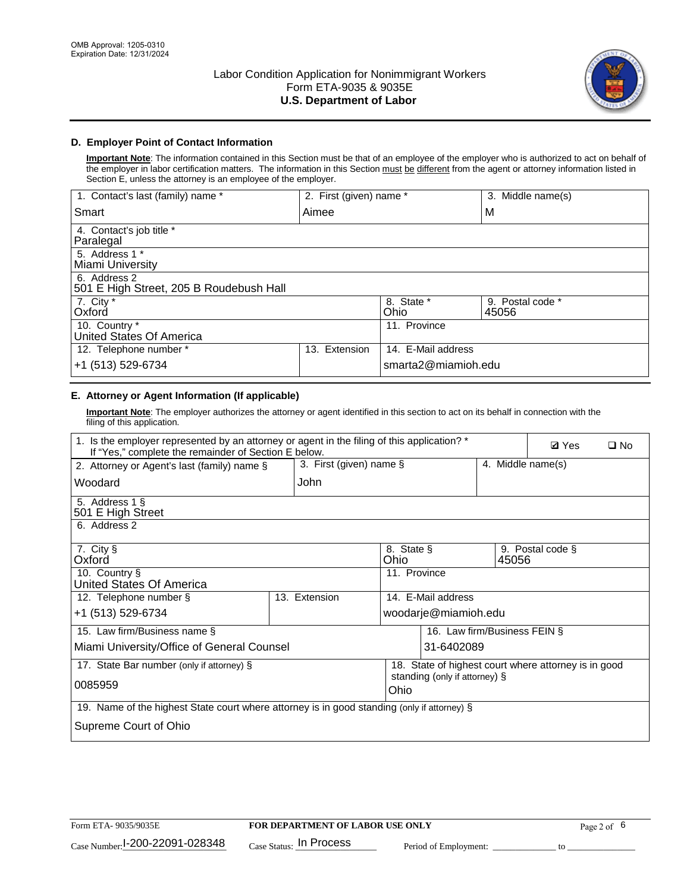

## **D. Employer Point of Contact Information**

**Important Note**: The information contained in this Section must be that of an employee of the employer who is authorized to act on behalf of the employer in labor certification matters. The information in this Section must be different from the agent or attorney information listed in Section E, unless the attorney is an employee of the employer.

| 1. Contact's last (family) name *                       | 2. First (given) name * |                     | 3. Middle name(s)         |
|---------------------------------------------------------|-------------------------|---------------------|---------------------------|
| Smart                                                   | Aimee                   |                     | M                         |
| 4. Contact's job title *<br>Paralegal                   |                         |                     |                           |
| 5. Address 1 *<br>Miami University                      |                         |                     |                           |
| 6. Address 2<br>501 E High Street, 205 B Roudebush Hall |                         |                     |                           |
| 7. City *<br>Oxford                                     |                         | 8. State *<br>Ohio  | 9. Postal code *<br>45056 |
| 10. Country *<br>United States Of America               |                         | 11. Province        |                           |
| 12. Telephone number *                                  | Extension<br>13.        | 14. E-Mail address  |                           |
| +1 (513) 529-6734                                       |                         | smarta2@miamioh.edu |                           |

# **E. Attorney or Agent Information (If applicable)**

**Important Note**: The employer authorizes the attorney or agent identified in this section to act on its behalf in connection with the filing of this application.

| 1. Is the employer represented by an attorney or agent in the filing of this application? *<br>If "Yes," complete the remainder of Section E below. |                         |                                       |                                                      |       |                   | $\Box$ No |
|-----------------------------------------------------------------------------------------------------------------------------------------------------|-------------------------|---------------------------------------|------------------------------------------------------|-------|-------------------|-----------|
| 2. Attorney or Agent's last (family) name §                                                                                                         | 3. First (given) name § |                                       |                                                      |       | 4. Middle name(s) |           |
| Woodard                                                                                                                                             | John                    |                                       |                                                      |       |                   |           |
| 5. Address 1 §<br>501 E High Street                                                                                                                 |                         |                                       |                                                      |       |                   |           |
| 6. Address 2                                                                                                                                        |                         |                                       |                                                      |       |                   |           |
| 7. City §<br>Oxford                                                                                                                                 |                         | 8. State §<br>Ohio                    |                                                      | 45056 | 9. Postal code §  |           |
| 10. Country §<br>United States Of America                                                                                                           |                         | 11. Province                          |                                                      |       |                   |           |
| 12. Telephone number §                                                                                                                              | 13. Extension           | 14. E-Mail address                    |                                                      |       |                   |           |
| +1 (513) 529-6734                                                                                                                                   |                         |                                       | woodarje@miamioh.edu                                 |       |                   |           |
| 15. Law firm/Business name §                                                                                                                        |                         |                                       | 16. Law firm/Business FEIN §                         |       |                   |           |
| Miami University/Office of General Counsel                                                                                                          |                         |                                       | 31-6402089                                           |       |                   |           |
| 17. State Bar number (only if attorney) §                                                                                                           |                         |                                       | 18. State of highest court where attorney is in good |       |                   |           |
| 0085959                                                                                                                                             |                         | standing (only if attorney) §<br>Ohio |                                                      |       |                   |           |
| 19. Name of the highest State court where attorney is in good standing (only if attorney) §                                                         |                         |                                       |                                                      |       |                   |           |
| Supreme Court of Ohio                                                                                                                               |                         |                                       |                                                      |       |                   |           |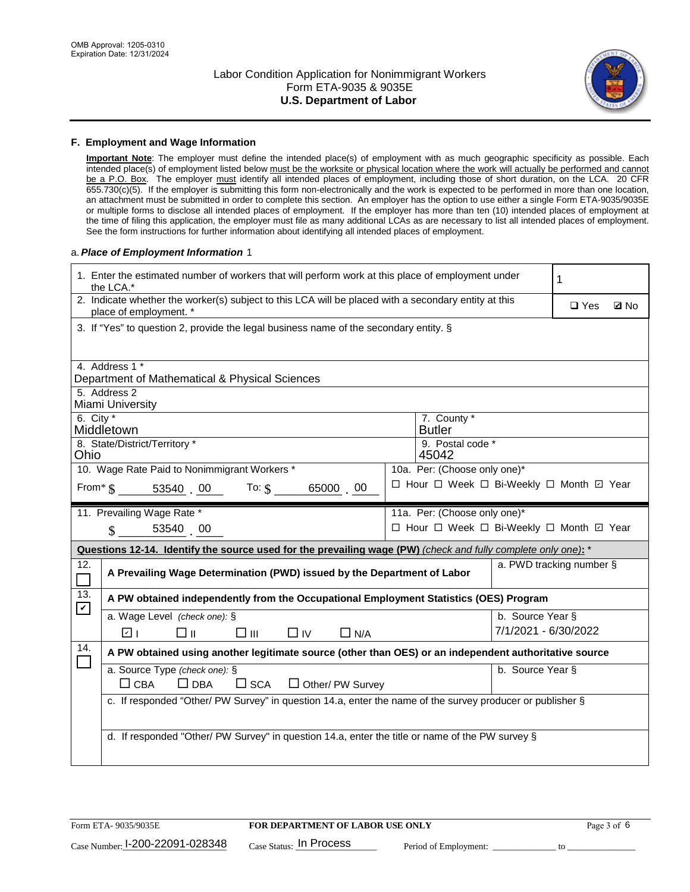

#### **F. Employment and Wage Information**

**Important Note**: The employer must define the intended place(s) of employment with as much geographic specificity as possible. Each intended place(s) of employment listed below must be the worksite or physical location where the work will actually be performed and cannot be a P.O. Box. The employer must identify all intended places of employment, including those of short duration, on the LCA. 20 CFR 655.730(c)(5). If the employer is submitting this form non-electronically and the work is expected to be performed in more than one location, an attachment must be submitted in order to complete this section. An employer has the option to use either a single Form ETA-9035/9035E or multiple forms to disclose all intended places of employment. If the employer has more than ten (10) intended places of employment at the time of filing this application, the employer must file as many additional LCAs as are necessary to list all intended places of employment. See the form instructions for further information about identifying all intended places of employment.

#### a.*Place of Employment Information* 1

| 1. Enter the estimated number of workers that will perform work at this place of employment under<br>the LCA.* |                                                                                                                                |  |                                          |                      |                          |  |  |  |
|----------------------------------------------------------------------------------------------------------------|--------------------------------------------------------------------------------------------------------------------------------|--|------------------------------------------|----------------------|--------------------------|--|--|--|
|                                                                                                                | 2. Indicate whether the worker(s) subject to this LCA will be placed with a secondary entity at this<br>place of employment. * |  | $\square$ Yes                            | <b>Z</b> No          |                          |  |  |  |
|                                                                                                                | 3. If "Yes" to question 2, provide the legal business name of the secondary entity. §                                          |  |                                          |                      |                          |  |  |  |
|                                                                                                                | 4. Address 1 *<br>Department of Mathematical & Physical Sciences                                                               |  |                                          |                      |                          |  |  |  |
|                                                                                                                | 5. Address 2                                                                                                                   |  |                                          |                      |                          |  |  |  |
|                                                                                                                | Miami University                                                                                                               |  |                                          |                      |                          |  |  |  |
| 6. City $*$                                                                                                    | Middletown                                                                                                                     |  | 7. County *<br><b>Butler</b>             |                      |                          |  |  |  |
|                                                                                                                | 8. State/District/Territory *<br>9. Postal code *<br>Ohio<br>45042                                                             |  |                                          |                      |                          |  |  |  |
| 10. Wage Rate Paid to Nonimmigrant Workers *<br>10a. Per: (Choose only one)*                                   |                                                                                                                                |  |                                          |                      |                          |  |  |  |
|                                                                                                                | □ Hour □ Week □ Bi-Weekly □ Month ☑ Year<br>From $\frac{1}{3}$ 53540 00 To: $\frac{1}{3}$<br>65000 00                          |  |                                          |                      |                          |  |  |  |
|                                                                                                                | 11. Prevailing Wage Rate *                                                                                                     |  | 11a. Per: (Choose only one)*             |                      |                          |  |  |  |
|                                                                                                                | 53540 00<br>$\mathcal{S}$                                                                                                      |  | □ Hour □ Week □ Bi-Weekly □ Month 回 Year |                      |                          |  |  |  |
|                                                                                                                | Questions 12-14. Identify the source used for the prevailing wage (PW) (check and fully complete only one): *                  |  |                                          |                      |                          |  |  |  |
| 12.<br>$\Box$                                                                                                  | A Prevailing Wage Determination (PWD) issued by the Department of Labor                                                        |  |                                          |                      | a. PWD tracking number § |  |  |  |
| 13.<br>$\blacktriangledown$                                                                                    | A PW obtained independently from the Occupational Employment Statistics (OES) Program                                          |  |                                          |                      |                          |  |  |  |
|                                                                                                                | a. Wage Level (check one): §                                                                                                   |  |                                          | b. Source Year §     |                          |  |  |  |
|                                                                                                                | ☑ ⊦<br>□⊪<br>$\square$ $\square$<br>$\Box$ IV<br>$\Box$ N/A                                                                    |  |                                          | 7/1/2021 - 6/30/2022 |                          |  |  |  |
| 14.<br>$\Box$                                                                                                  | A PW obtained using another legitimate source (other than OES) or an independent authoritative source                          |  |                                          |                      |                          |  |  |  |
|                                                                                                                | a. Source Type (check one): §                                                                                                  |  |                                          | b. Source Year §     |                          |  |  |  |
|                                                                                                                | $\Box$ CBA<br>$\Box$ DBA<br>$\square$ SCA<br>$\Box$ Other/ PW Survey                                                           |  |                                          |                      |                          |  |  |  |
|                                                                                                                | c. If responded "Other/ PW Survey" in question 14.a, enter the name of the survey producer or publisher §                      |  |                                          |                      |                          |  |  |  |
|                                                                                                                | d. If responded "Other/ PW Survey" in question 14.a, enter the title or name of the PW survey §                                |  |                                          |                      |                          |  |  |  |
|                                                                                                                |                                                                                                                                |  |                                          |                      |                          |  |  |  |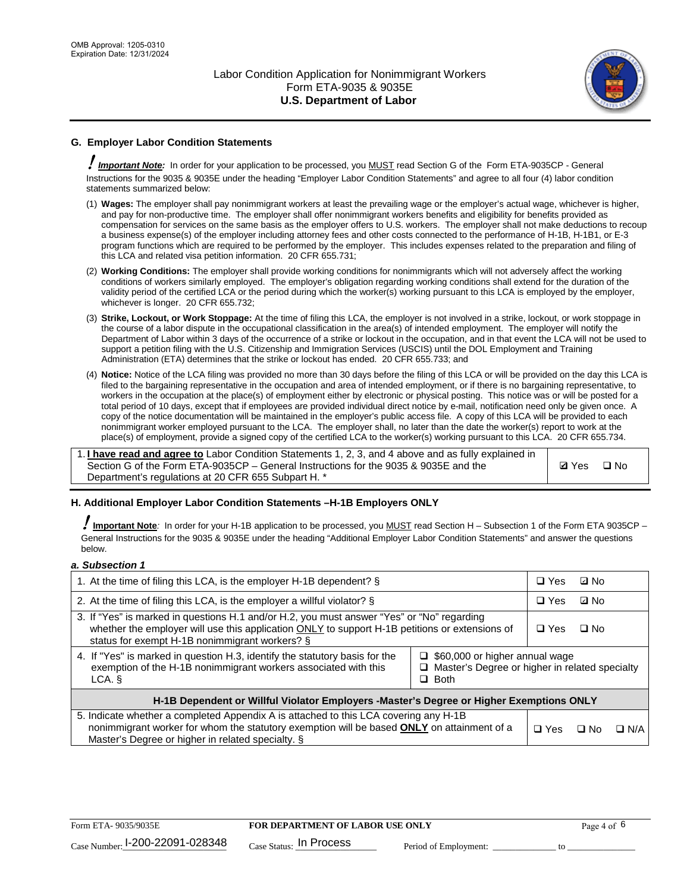

# **G. Employer Labor Condition Statements**

! *Important Note:* In order for your application to be processed, you MUST read Section G of the Form ETA-9035CP - General Instructions for the 9035 & 9035E under the heading "Employer Labor Condition Statements" and agree to all four (4) labor condition statements summarized below:

- (1) **Wages:** The employer shall pay nonimmigrant workers at least the prevailing wage or the employer's actual wage, whichever is higher, and pay for non-productive time. The employer shall offer nonimmigrant workers benefits and eligibility for benefits provided as compensation for services on the same basis as the employer offers to U.S. workers. The employer shall not make deductions to recoup a business expense(s) of the employer including attorney fees and other costs connected to the performance of H-1B, H-1B1, or E-3 program functions which are required to be performed by the employer. This includes expenses related to the preparation and filing of this LCA and related visa petition information. 20 CFR 655.731;
- (2) **Working Conditions:** The employer shall provide working conditions for nonimmigrants which will not adversely affect the working conditions of workers similarly employed. The employer's obligation regarding working conditions shall extend for the duration of the validity period of the certified LCA or the period during which the worker(s) working pursuant to this LCA is employed by the employer, whichever is longer. 20 CFR 655.732;
- (3) **Strike, Lockout, or Work Stoppage:** At the time of filing this LCA, the employer is not involved in a strike, lockout, or work stoppage in the course of a labor dispute in the occupational classification in the area(s) of intended employment. The employer will notify the Department of Labor within 3 days of the occurrence of a strike or lockout in the occupation, and in that event the LCA will not be used to support a petition filing with the U.S. Citizenship and Immigration Services (USCIS) until the DOL Employment and Training Administration (ETA) determines that the strike or lockout has ended. 20 CFR 655.733; and
- (4) **Notice:** Notice of the LCA filing was provided no more than 30 days before the filing of this LCA or will be provided on the day this LCA is filed to the bargaining representative in the occupation and area of intended employment, or if there is no bargaining representative, to workers in the occupation at the place(s) of employment either by electronic or physical posting. This notice was or will be posted for a total period of 10 days, except that if employees are provided individual direct notice by e-mail, notification need only be given once. A copy of the notice documentation will be maintained in the employer's public access file. A copy of this LCA will be provided to each nonimmigrant worker employed pursuant to the LCA. The employer shall, no later than the date the worker(s) report to work at the place(s) of employment, provide a signed copy of the certified LCA to the worker(s) working pursuant to this LCA. 20 CFR 655.734.

1. **I have read and agree to** Labor Condition Statements 1, 2, 3, and 4 above and as fully explained in Section G of the Form ETA-9035CP – General Instructions for the 9035 & 9035E and the Department's regulations at 20 CFR 655 Subpart H. \*

**Ø**Yes ロNo

### **H. Additional Employer Labor Condition Statements –H-1B Employers ONLY**

!**Important Note***:* In order for your H-1B application to be processed, you MUST read Section H – Subsection 1 of the Form ETA 9035CP – General Instructions for the 9035 & 9035E under the heading "Additional Employer Labor Condition Statements" and answer the questions below.

#### *a. Subsection 1*

| 1. At the time of filing this LCA, is the employer H-1B dependent? §                                                                                                                                                                                                    |  |  | ⊡ No      |            |  |
|-------------------------------------------------------------------------------------------------------------------------------------------------------------------------------------------------------------------------------------------------------------------------|--|--|-----------|------------|--|
| 2. At the time of filing this LCA, is the employer a willful violator? $\S$                                                                                                                                                                                             |  |  | ⊡ No      |            |  |
| 3. If "Yes" is marked in questions H.1 and/or H.2, you must answer "Yes" or "No" regarding<br>whether the employer will use this application ONLY to support H-1B petitions or extensions of<br>status for exempt H-1B nonimmigrant workers? §                          |  |  | $\Box$ No |            |  |
| 4. If "Yes" is marked in question H.3, identify the statutory basis for the<br>$\Box$ \$60,000 or higher annual wage<br>exemption of the H-1B nonimmigrant workers associated with this<br>$\Box$ Master's Degree or higher in related specialty<br>$\Box$ Both<br>LCA. |  |  |           |            |  |
| H-1B Dependent or Willful Violator Employers -Master's Degree or Higher Exemptions ONLY                                                                                                                                                                                 |  |  |           |            |  |
| 5. Indicate whether a completed Appendix A is attached to this LCA covering any H-1B<br>nonimmigrant worker for whom the statutory exemption will be based <b>ONLY</b> on attainment of a<br>Master's Degree or higher in related specialty. §                          |  |  | ⊡ No      | $\Box$ N/A |  |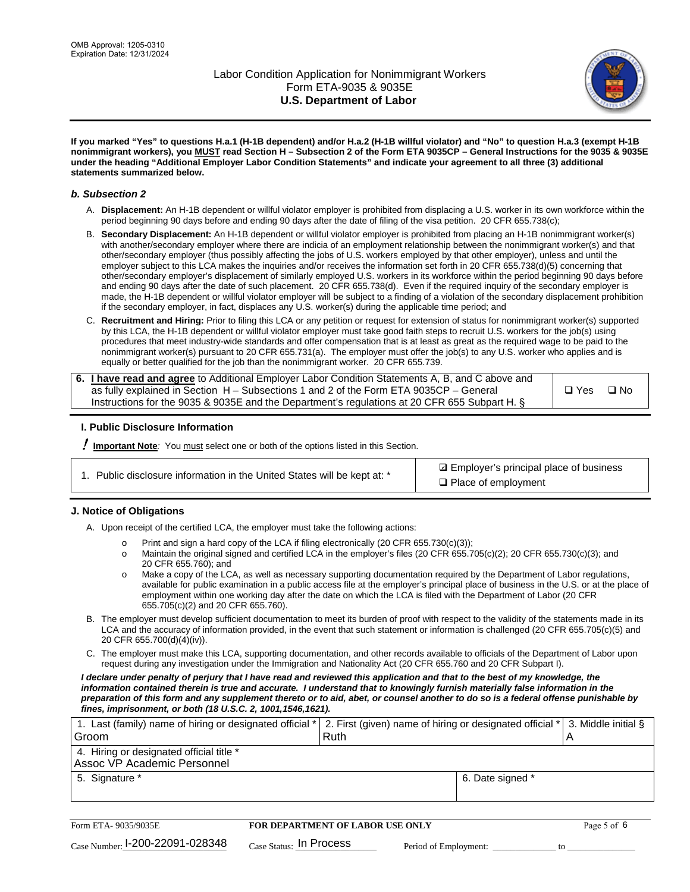

**If you marked "Yes" to questions H.a.1 (H-1B dependent) and/or H.a.2 (H-1B willful violator) and "No" to question H.a.3 (exempt H-1B nonimmigrant workers), you MUST read Section H – Subsection 2 of the Form ETA 9035CP – General Instructions for the 9035 & 9035E under the heading "Additional Employer Labor Condition Statements" and indicate your agreement to all three (3) additional statements summarized below.**

#### *b. Subsection 2*

- A. **Displacement:** An H-1B dependent or willful violator employer is prohibited from displacing a U.S. worker in its own workforce within the period beginning 90 days before and ending 90 days after the date of filing of the visa petition. 20 CFR 655.738(c);
- B. **Secondary Displacement:** An H-1B dependent or willful violator employer is prohibited from placing an H-1B nonimmigrant worker(s) with another/secondary employer where there are indicia of an employment relationship between the nonimmigrant worker(s) and that other/secondary employer (thus possibly affecting the jobs of U.S. workers employed by that other employer), unless and until the employer subject to this LCA makes the inquiries and/or receives the information set forth in 20 CFR 655.738(d)(5) concerning that other/secondary employer's displacement of similarly employed U.S. workers in its workforce within the period beginning 90 days before and ending 90 days after the date of such placement. 20 CFR 655.738(d). Even if the required inquiry of the secondary employer is made, the H-1B dependent or willful violator employer will be subject to a finding of a violation of the secondary displacement prohibition if the secondary employer, in fact, displaces any U.S. worker(s) during the applicable time period; and
- C. **Recruitment and Hiring:** Prior to filing this LCA or any petition or request for extension of status for nonimmigrant worker(s) supported by this LCA, the H-1B dependent or willful violator employer must take good faith steps to recruit U.S. workers for the job(s) using procedures that meet industry-wide standards and offer compensation that is at least as great as the required wage to be paid to the nonimmigrant worker(s) pursuant to 20 CFR 655.731(a). The employer must offer the job(s) to any U.S. worker who applies and is equally or better qualified for the job than the nonimmigrant worker. 20 CFR 655.739.

| 6. I have read and agree to Additional Employer Labor Condition Statements A, B, and C above and |         |           |
|--------------------------------------------------------------------------------------------------|---------|-----------|
| as fully explained in Section H – Subsections 1 and 2 of the Form ETA 9035CP – General           | l □ Yes | $\Box$ No |
| Instructions for the 9035 & 9035E and the Department's regulations at 20 CFR 655 Subpart H. §    |         |           |

### **I. Public Disclosure Information**

! **Important Note***:* You must select one or both of the options listed in this Section.

| 1. Public disclosure information in the United States will be kept at: * |  |  |  |  |  |  |  |
|--------------------------------------------------------------------------|--|--|--|--|--|--|--|
|--------------------------------------------------------------------------|--|--|--|--|--|--|--|

**sqrt** Employer's principal place of business □ Place of employment

### **J. Notice of Obligations**

A. Upon receipt of the certified LCA, the employer must take the following actions:

- o Print and sign a hard copy of the LCA if filing electronically (20 CFR 655.730(c)(3));<br>
Maintain the original signed and certified LCA in the employer's files (20 CFR 655.7
- Maintain the original signed and certified LCA in the employer's files (20 CFR 655.705(c)(2); 20 CFR 655.730(c)(3); and 20 CFR 655.760); and
- o Make a copy of the LCA, as well as necessary supporting documentation required by the Department of Labor regulations, available for public examination in a public access file at the employer's principal place of business in the U.S. or at the place of employment within one working day after the date on which the LCA is filed with the Department of Labor (20 CFR 655.705(c)(2) and 20 CFR 655.760).
- B. The employer must develop sufficient documentation to meet its burden of proof with respect to the validity of the statements made in its LCA and the accuracy of information provided, in the event that such statement or information is challenged (20 CFR 655.705(c)(5) and 20 CFR 655.700(d)(4)(iv)).
- C. The employer must make this LCA, supporting documentation, and other records available to officials of the Department of Labor upon request during any investigation under the Immigration and Nationality Act (20 CFR 655.760 and 20 CFR Subpart I).

*I declare under penalty of perjury that I have read and reviewed this application and that to the best of my knowledge, the*  information contained therein is true and accurate. I understand that to knowingly furnish materially false information in the *preparation of this form and any supplement thereto or to aid, abet, or counsel another to do so is a federal offense punishable by fines, imprisonment, or both (18 U.S.C. 2, 1001,1546,1621).*

| 1. Last (family) name of hiring or designated official * 2. First (given) name of hiring or designated official * 3. Middle initial § |  |
|---------------------------------------------------------------------------------------------------------------------------------------|--|
| Ruth                                                                                                                                  |  |
|                                                                                                                                       |  |
| 6. Date signed *                                                                                                                      |  |
|                                                                                                                                       |  |